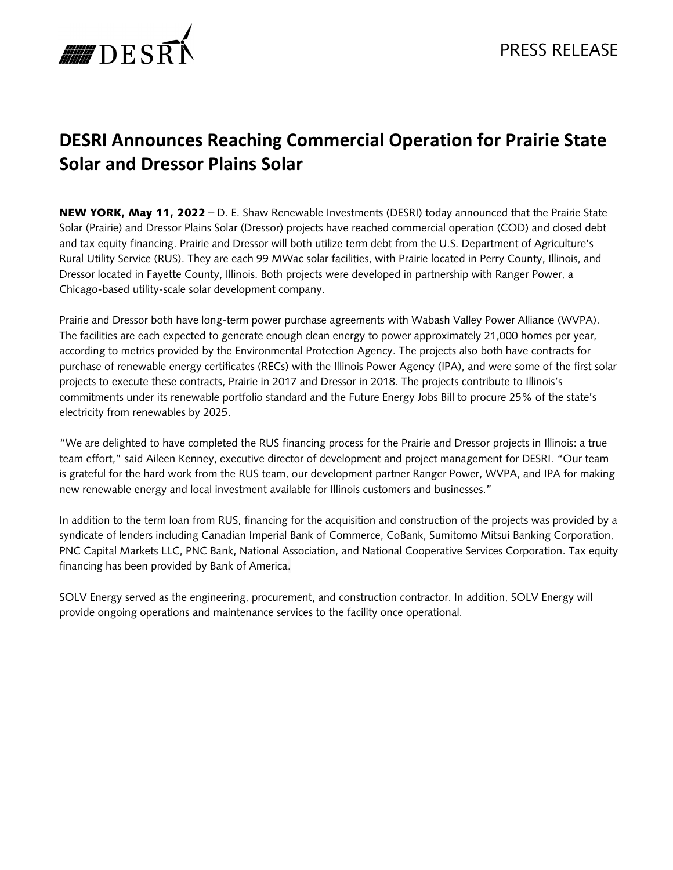

## **DESRI Announces Reaching Commercial Operation for Prairie State Solar and Dressor Plains Solar**

NEW YORK, May 11, 2022 – D. E. Shaw Renewable Investments (DESRI) today announced that the Prairie State Solar (Prairie) and Dressor Plains Solar (Dressor) projects have reached commercial operation (COD) and closed debt and tax equity financing. Prairie and Dressor will both utilize term debt from the U.S. Department of Agriculture's Rural Utility Service (RUS). They are each 99 MWac solar facilities, with Prairie located in Perry County, Illinois, and Dressor located in Fayette County, Illinois. Both projects were developed in partnership with Ranger Power, a Chicago-based utility-scale solar development company.

Prairie and Dressor both have long-term power purchase agreements with Wabash Valley Power Alliance (WVPA). The facilities are each expected to generate enough clean energy to power approximately 21,000 homes per year, according to metrics provided by the Environmental Protection Agency. The projects also both have contracts for purchase of renewable energy certificates (RECs) with the Illinois Power Agency (IPA), and were some of the first solar projects to execute these contracts, Prairie in 2017 and Dressor in 2018. The projects contribute to Illinois's commitments under its renewable portfolio standard and the Future Energy Jobs Bill to procure 25% of the state's electricity from renewables by 2025.

"We are delighted to have completed the RUS financing process for the Prairie and Dressor projects in Illinois: a true team effort," said Aileen Kenney, executive director of development and project management for DESRI. "Our team is grateful for the hard work from the RUS team, our development partner Ranger Power, WVPA, and IPA for making new renewable energy and local investment available for Illinois customers and businesses."

In addition to the term loan from RUS, financing for the acquisition and construction of the projects was provided by a syndicate of lenders including Canadian Imperial Bank of Commerce, CoBank, Sumitomo Mitsui Banking Corporation, PNC Capital Markets LLC, PNC Bank, National Association, and National Cooperative Services Corporation. Tax equity financing has been provided by Bank of America.

SOLV Energy served as the engineering, procurement, and construction contractor. In addition, SOLV Energy will provide ongoing operations and maintenance services to the facility once operational.